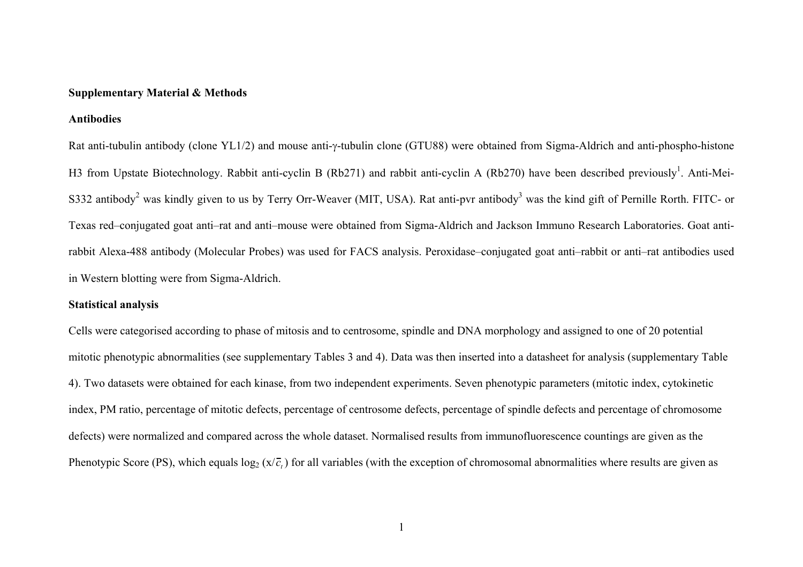#### **Supplementary Material & Methods**

#### **Antibodies**

Rat anti-tubulin antibody (clone YL1/2) and mouse anti-γ-tubulin clone (GTU88) were obtained from Sigma-Aldrich and anti-phospho-histone H3 from Upstate Biotechnology. Rabbit anti-cyclin B (Rb271) and rabbit anti-cyclin A (Rb270) have been described previously<sup>1</sup>. Anti-Mei-S332 antibody<sup>2</sup> was kindly given to us by Terry Orr-Weaver (MIT, USA). Rat anti-pyr antibody<sup>3</sup> was the kind gift of Pernille Rorth. FITC- or Texas red–conjugated goat anti–rat and anti–mouse were obtained from Sigma-Aldrich and Jackson Immuno Research Laboratories. Goat antirabbit Alexa-488 antibody (Molecular Probes) was used for FACS analysis. Peroxidase–conjugated goat anti–rabbit or anti–rat antibodies used in Western blotting were from Sigma-Aldrich.

## **Statistical analysis**

Cells were categorised according to phase of mitosis and to centrosome, spindle and DNA morphology and assigned to one of 20 potential mitotic phenotypic abnormalities (see supplementary Tables 3 and 4). Data was then inserted into a datasheet for analysis (supplementary Table 4). Two datasets were obtained for each kinase, from two independent experiments. Seven phenotypic parameters (mitotic index, cytokinetic index, PM ratio, percentage of mitotic defects, percentage of centrosome defects, percentage of spindle defects and percentage of chromosome defects) were normalized and compared across the whole dataset. Normalised results from immunofluorescence countings are given as the Phenotypic Score (PS), which equals  $log_2(x/\bar{c}_t)$  for all variables (with the exception of chromosomal abnormalities where results are given as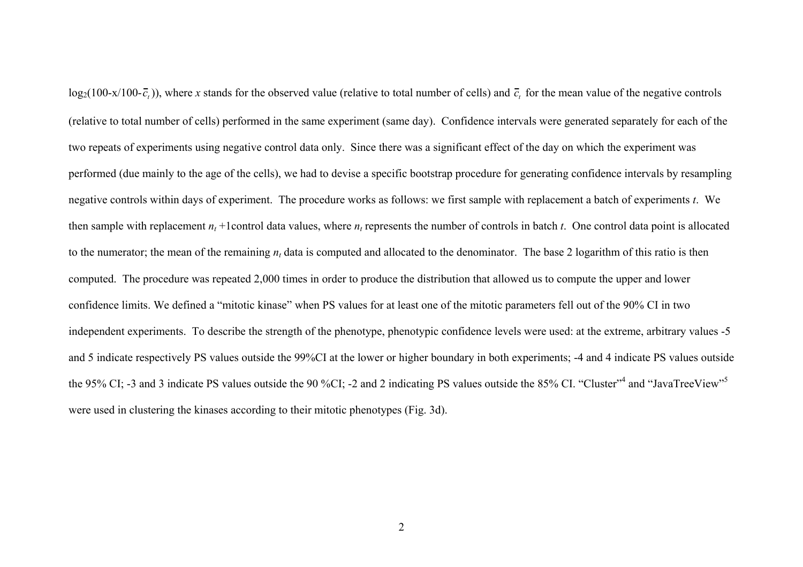$log_2(100-x/100-\bar{c}_t)$ , where x stands for the observed value (relative to total number of cells) and  $\bar{c}_t$  for the mean value of the negative controls (relative to total number of cells) performed in the same experiment (same day). Confidence intervals were generated separately for each of the two repeats of experiments using negative control data only. Since there was a significant effect of the day on which the experiment was performed (due mainly to the age of the cells), we had to devise a specific bootstrap procedure for generating confidence intervals by resampling negative controls within days of experiment. The procedure works as follows: we first sample with replacement a batch of experiments *t*. We then sample with replacement  $n_t$  +1control data values, where  $n_t$  represents the number of controls in batch  $t$ . One control data point is allocated to the numerator; the mean of the remaining  $n_t$  data is computed and allocated to the denominator. The base 2 logarithm of this ratio is then computed. The procedure was repeated 2,000 times in order to produce the distribution that allowed us to compute the upper and lower confidence limits. We defined a "mitotic kinase" when PS values for at least one of the mitotic parameters fell out of the 90% CI in two independent experiments. To describe the strength of the phenotype, phenotypic confidence levels were used: at the extreme, arbitrary values -5 and 5 indicate respectively PS values outside the 99%CI at the lower or higher boundary in both experiments; -4 and 4 indicate PS values outside the 95% CI; -3 and 3 indicate PS values outside the 90 %CI; -2 and 2 indicating PS values outside the 85% CI. "Cluster"<sup>4</sup> and "JavaTreeView"<sup>5</sup> were used in clustering the kinases according to their mitotic phenotypes (Fig. 3d).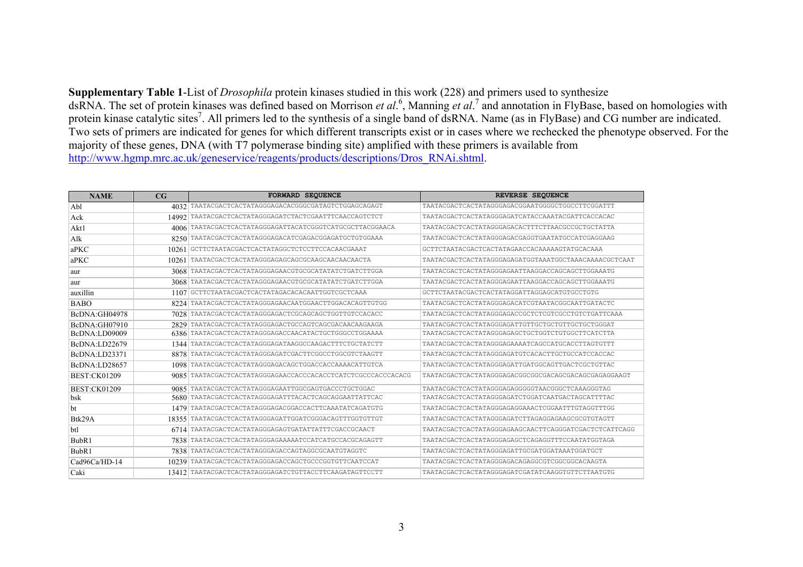**Supplementary Table 1**-List of *Drosophila* protein kinases studied in this work (228) and primers used to synthesize dsRNA. The set of protein kinases was defined based on Morrison *et al*.6, Manning *et al*.7 and annotation in FlyBase, based on homologies with protein kinase catalytic sites<sup>7</sup>. All primers led to the synthesis of a single band of dsRNA. Name (as in FlyBase) and CG number are indicated. Two sets of primers are indicated for genes for which different transcripts exist or in cases where we rechecked the phenotype observed. For the majority of these genes, DNA (with T7 polymerase binding site) amplified with these primers is available from http://www.hgmp.mrc.ac.uk/geneservice/reagents/products/descriptions/Dros\_RNAi.shtml.

| <b>NAME</b>          | $_{\rm CG}$ | <b>FORWARD SEQUENCE</b>                                | REVERSE SEQUENCE                                      |  |
|----------------------|-------------|--------------------------------------------------------|-------------------------------------------------------|--|
| Abl                  | 4032        | TAATACGACTCACTATAGGGAGACACGGGCGATAGTCTGGAGCAGAGT       | TAATACGACTCACTATAGGGAGACGGAATGGGGCTGGCCTTCGGATTT      |  |
| Ack                  |             | 14992 TAATACGACTCACTATAGGGAGATCTACTCGAATTTCAACCAGTCTCT | TAATACGACTCACTATAGGGAGATCATACCAAATACGATTCACCACAC      |  |
| Akt1                 | 4006        | TAATACGACTCACTATAGGGAGATTACATCGGGTCATGCGCTTACGGAACA    | TAATACGACTCACTATAGGGAGACACTTTCTTAACGCCGCTGCTATTA      |  |
| Alk                  | 8250        | TAATACGACTCACTATAGGGAGACATCGAGACGGAGATGCTGTGGAAA       | TAATACGACTCACTATAGGGAGACGAGGTGAATATGCCATCGAGGAAG      |  |
| $a$ PKC              | 10261       | GCTTCTAATACGACTCACTATAGGCTCTCCTTCCACAACGAAAT           | GCTTCTAATACGACTCACTATAGAACCACAAAAAGTATGCACAAA         |  |
| $a$ PKC              | 10261       | TAATACGACTCACTATAGGGAGAGCAGCGCAAGCAACAACAACTA          | TAATACGACTCACTATAGGGAGAGATGGTAAATGGCTAAACAAAACGCTCAAT |  |
| aur                  | 3068        | TAATACGACTCACTATAGGGAGAACGTGCGCATATATCTGATCTTGGA       | TAATACGACTCACTATAGGGAGAATTAAGGACCAGCAGCTTGGAAATG      |  |
| aur                  | 3068        | TAATACGACTCACTATAGGGAGAACGTGCGCATATATCTGATCTTGGA       | TAATACGACTCACTATAGGGAGAATTAAGGACCAGCAGCTTGGAAATG      |  |
| auxillin             | 1107        | GCTTCTAATACGACTCACTATAGACACACAATTGGTCGCTCAAA           | GCTTCTAATACGACTCACTATAGGATTAGGAGCATGTGCCTGTG          |  |
| <b>BABO</b>          | 8224        | TAATACGACTCACTATAGGGAGAACAATGGAACTTGGACACAGTTGTGG      | TAATACGACTCACTATAGGGAGACATCGTAATACGGCAATTGATACTC      |  |
| BcDNA:GH04978        | 7028        | TAATACGACTCACTATAGGGAGACTCGCAGCAGCTGGTTGTCCACACC       | TAATACGACTCACTATAGGGAGACCGCTCTCGTCGCCTGTCTGATTCAAA    |  |
| BcDNA:GH07910        | 2829        | TAATACGACTCACTATAGGGAGACTGCCAGTCAGCGACAACAAGAAGA       | TAATACGACTCACTATAGGGAGATTGTTGCTGCTGTTGCTGCTGGGGAT     |  |
| BcDNA:LD09009        | 6386        | TAATACGACTCACTATAGGGAGACCAACATACTGCTGGGCCTGGAAAA       | TAATACGACTCACTATAGGGAGAGCTGCTGGTCTGTGGCTTCATCTTA      |  |
| <b>BcDNA:LD22679</b> | 1344        | TAATACGACTCACTATAGGGAGATAAGGCCAAGACTTTCTGCTATCTT       | TAATACGACTCACTATAGGGAGAAAATCAGCCATGCACCTTAGTGTTT      |  |
| BcDNA:LD23371        | 8878        | TAATACGACTCACTATAGGGAGATCGACTTCGGCCTGGCGTCTAAGTT       | TAATACGACTCACTATAGGGAGATGTCACACTTGCTGCCATCCACCAC      |  |
| BcDNA:LD28657        | 1098        | TAATACGACTCACTATAGGGAGACAGCTGGACCACCAAAACATTGTCA       | TAATACGACTCACTATAGGGAGATTGATGGCAGTTGACTCGCTGTTAC      |  |
| <b>BEST:CK01209</b>  | 9085        |                                                        | TAATACGACTCACTATAGGGAGACGGCGGCGACAGCGACAGCGAGAGGAAGT  |  |
| <b>BEST:CK01209</b>  | 9085        | TAATACGACTCACTATAGGGAGAATTGGCGAGTGACCCTGCTGGAC         | TAATACGACTCACTATAGGGAGAGGGGGTAACGGGCTCAAAGGGTAG       |  |
| bsk                  | 5680        | TAATACGACTCACTATAGGGAGATTTACACTCAGCAGGAATTATTCAC       | TAATACGACTCACTATAGGGAGATCTGGATCAATGACTAGCATTTTAC      |  |
| ht                   | 1479        | TAATACGACTCACTATAGGGAGACGGACCACTTCAAATATCAGATGTG       | TAATACGACTCACTATAGGGAGAGGAAACTCGGAATTTGTAGGTTTGG      |  |
| Btk29A               | 18355       | TAATACGACTCACTATAGGGAGATTGGATCGGGACAGTTTGGTGTTGT       | TAATACGACTCACTATAGGGAGATCTTAGAGGAGAAGCGCGTGTAGTT      |  |
| ht1                  | 6714        | TAATACGACTCACTATAGGGAGAGTGATATTATTTCGACCGCAACT         | TAATACGACTCACTATAGGGAGAAGCAACTTCAGGGATCGACTCTCATTCAGG |  |
| BubR1                | 7838        | TAATACGACTCACTATAGGGAGAAAAATCCATCATGCCACGCAGAGTT       | TAATACGACTCACTATAGGGAGAGCTCAGAGGTTTCCAATATGGTAGA      |  |
| BubR1                | 7838        | TAATACGACTCACTATAGGGAGACCAGTAGGCGCAATGTAGGTC           | TAATACGACTCACTATAGGGAGATTGCGATGGATAAATGGATGCT         |  |
| Cad96Ca/HD-14        | 10239       | TAATACGACTCACTATAGGGAGACCAGCTGCCCGGTGTTCAATCCAT        | TAATACGACTCACTATAGGGAGACAGAGGCGTCGGCGCACAAGTA         |  |
| Caki                 | 13412       | TAATACGACTCACTATAGGGAGATCTGTTACCTTCAAGATAGTTCCTT       | TAATACGACTCACTATAGGGAGATCGATATCAAGGTGTTCTTAATGTG      |  |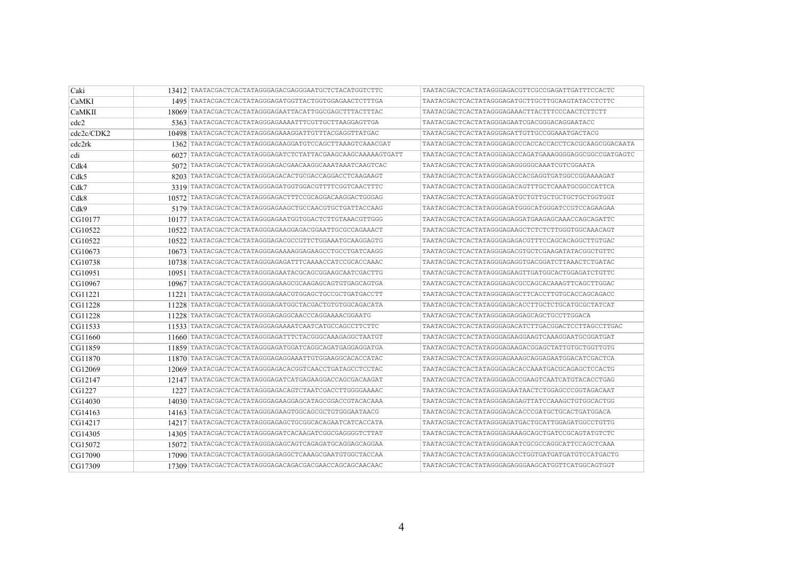| Caki       |       | 13412 TAATACGACTCACTATAGGGAGACGAGGGAATGCTCTACATGGTCTTC   |                                                       |
|------------|-------|----------------------------------------------------------|-------------------------------------------------------|
| CaMKI      |       | 1495 TAATACGACTCACTATAGGGAGATGGTTACTGGTGGAGAACTCTTTGA    | TAATACGACTCACTATAGGGAGATGCTTGCTTGCAAGTATACCTCTTC      |
| CaMKII     |       | 18069 TAATACGACTCACTATAGGGAGAATTACATTGGCGAGCTTTACTTTAC   | TAATACGACTCACTATAGGGAGAAACTTACTTTCCCAACTCTTCTT        |
| cdc2       |       | 5363 TAATACGACTCACTATAGGGAGAAAATTTCGTTGCTTAAGGAGTTGA     | TAATACGACTCACTATAGGGAGAATCGACGGGACAGGAATACC           |
| cdc2c/CDK2 |       | 10498 TAATACGACTCACTATAGGGAGAAAGGATTGTTTACGAGGTTATGAC    | TAATACGACTCACTATAGGGAGATTGTTGCCGGAAATGACTACG          |
| cdc2rk     |       | 1362 TAATACGACTCACTATAGGGAGAAGGATGTCCAGCTTAAAGTCAAACGAT  | TAATACGACTCACTATAGGGAGACCCACCACCACCTCACGCAAGCGGACAATA |
| cdi        | 6027  |                                                          | TAATACGACTCACTATAGGGAGACCAGATGAAAGGGGAGGCGGCCGATGAGTC |
| Cdk4       |       |                                                          | TAATACGACTCACTATAGGGAGAGGGGCAAATCGTCGGAATA            |
| Cdk5       |       | 8203   TAATACGACTCACTATAGGGAGACACTGCGACCAGGACCTCAAGAAGT  | TAATACGACTCACTATAGGGAGACCACGAGGTGATGGCCGGAAAAGAT      |
| Cdk7       |       | 3319 TAATACGACTCACTATAGGGAGATGGTGGACGTTTTCGGTCAACTTTC    | TAATACGACTCACTATAGGGAGACAGTTTGCTCAAATGCGGCCATTCA      |
| Cdk8       |       | 10572 TAATACGACTCACTATAGGGAGACTTTCCGCAGGACAAGGACTGGGAG   | TAATACGACTCACTATAGGGAGATGCTGTTGCTGCTGCTGCTGGTGGT      |
| Cdk9       |       | 5179   TAATACGACTCACTATAGGGAGAAGCTGCCAACGTGCTGATTACCAAG  | TAATACGACTCACTATAGGGAGATGGGCATGGGATCCGTCCAGAAGAA      |
| CG10177    |       | 10177   TAATACGACTCACTATAGGGAGAATGGTGGACTCTTGTAAACGTTGGG | TAATACGACTCACTATAGGGAGAGGATGAAGAGCAAACCAGCAGATTC      |
| CG10522    |       | 10522   TAATACGACTCACTATAGGGAGAAGGAGACGGAATTGCGCCAGAAACT | TAATACGACTCACTATAGGGAGAAGCTCTCTCTTGGGTGGCAAACAGT      |
| CG10522    |       | 10522 TAATACGACTCACTATAGGGAGACGCCGTTCTGGAAATGCAAGGAGTG   | TAATACGACTCACTATAGGGAGAGACGTTTCCAGCACAGGCTTGTGAC      |
| CG10673    |       |                                                          | TAATACGACTCACTATAGGGAGACGTGCTCGAAGATATACGGCTGTTC      |
| CG10738    |       | 10738 TAATACGACTCACTATAGGGAGAGATTTCAAAACCATCCGCACCAAAC   | TAATACGACTCACTATAGGGAGAGGTGACGGATCTTAAACTCTGATAC      |
| CG10951    |       | 10951   TAATACGACTCACTATAGGGAGAATACGCAGCGGAAGCAATCGACTTG | TAATACGACTCACTATAGGGAGAAGTTGATGGCACTGGAGATCTGTTC      |
| CG10967    |       | 10967   TAATACGACTCACTATAGGGAGAAGCGCAAGAGCAGTGTGAGCAGTGA | TAATACGACTCACTATAGGGAGACGCCAGCACAAAGTTCAGCTTGGAC      |
| CG11221    | 11221 | TAATACGACTCACTATAGGGAGAACGTGGAGCTGCCGCTGATGACCTT         | TAATACGACTCACTATAGGGAGAGCTTCACCTTGTGCACCAGCAGACC      |
| CG11228    |       | 11228   TAATACGACTCACTATAGGGAGATGGCTACGACTGTGTGGCAGACATA | TAATACGACTCACTATAGGGAGACACCTTGCTCTGCATGCGCTATCAT      |
| CG11228    |       | 11228 TAATACGACTCACTATAGGGAGAGGCAACCCAGGAAAACGGAATG      | TAATACGACTCACTATAGGGAGAGGAGCAGCTGCCTTGGACA            |
| CG11533    |       | 11533   TAATACGACTCACTATAGGGAGAAAATCAATCATGCCAGCCTTCTTC  | TAATACGACTCACTATAGGGAGACATCTTGACGGACTCCTTAGCCTTGAC    |
| CG11660    | 11660 | TAATACGACTCACTATAGGGAGATTTCTACGGGCAAAGAGGCTAATGT         | TAATACGACTCACTATAGGGAGAAGGAAGTCAAAGGAATGCGGATGAT      |
| CG11859    |       | 11859   TAATACGACTCACTATAGGGAGATGGATCAGGCAGATGAGGAGGATGA | TAATACGACTCACTATAGGGAGAAGACGGAGCTATTGTGCTGGTTGTG      |
| CG11870    |       | 11870   TAATACGACTCACTATAGGGAGAGGAAATTGTGGAAGGCACACCATAC | TAATACGACTCACTATAGGGAGAAAGCAGGAGAATGGACATCGACTCA      |
| CG12069    |       | 12069 TAATACGACTCACTATAGGGAGACACGGTCAACCTGATAGCCTCCTAC   | TAATACGACTCACTATAGGGAGACACCAAATGACGCAGAGCTCCACTG      |
| CG12147    |       | 12147   TAATACGACTCACTATAGGGAGATCATGAGAAGGACCAGCGACAAGAT | TAATACGACTCACTATAGGGAGACCGAAGTCAATCATGTACACCTGAG      |
| CG1227     |       | 1227   TAATACGACTCACTATAGGGAGACAGTCTAATCGACCTTGGGGAAAAC  | TAATACGACTCACTATAGGGAGAATAACTCTGGAGCCCGGTAGACAAT      |
| CG14030    |       | 14030   TAATACGACTCACTATAGGGAGAAGGAGCATAGCGGACCGTACACAAA | TAATACGACTCACTATAGGGAGAGAGTTATCCAAAGCTGTGGCACTGG      |
| CG14163    |       | 14163 TAATACGACTCACTATAGGGAGAAGTGGCAGCGCTGTGGGAATAACG    | TAATACGACTCACTATAGGGAGACACCCGATGCTGCACTGATGGACA       |
| CG14217    |       | 14217 TAATACGACTCACTATAGGGAGAGCTGCGGCACAGAATCATCACCATA   | TAATACGACTCACTATAGGGAGATGACTGCATTGGAGATGGCCTGTTG      |
| CG14305    |       | 14305   TAATACGACTCACTATAGGGAGATCACAAGATCGGCGAGGGGTCTTAT | TAATACGACTCACTATAGGGAGAAAGCAGCTGATCCGCAGTATGTCTC      |
| CG15072    |       | 15072 TAATACGACTCACTATAGGGAGAGCAGTCAGAGATGCAGGAGCAGGAA   | TAATACGACTCACTATAGGGAGAATCGCGCCAGGCATTCCAGCTCAAA      |
| CG17090    |       | 17090   TAATACGACTCACTATAGGGAGAGGCTCAAAGCGAATGTGGCTACCAA | TAATACGACTCACTATAGGGAGACCTGGTGATGATGATGTCCATGACTG     |
| CG17309    |       | 17309 TAATACGACTCACTATAGGGAGACAGACGACGAACCAGCAGCAACAAC   | TAATACGACTCACTATAGGGAGAGGGAAGCATGGTTCATGGCAGTGGT      |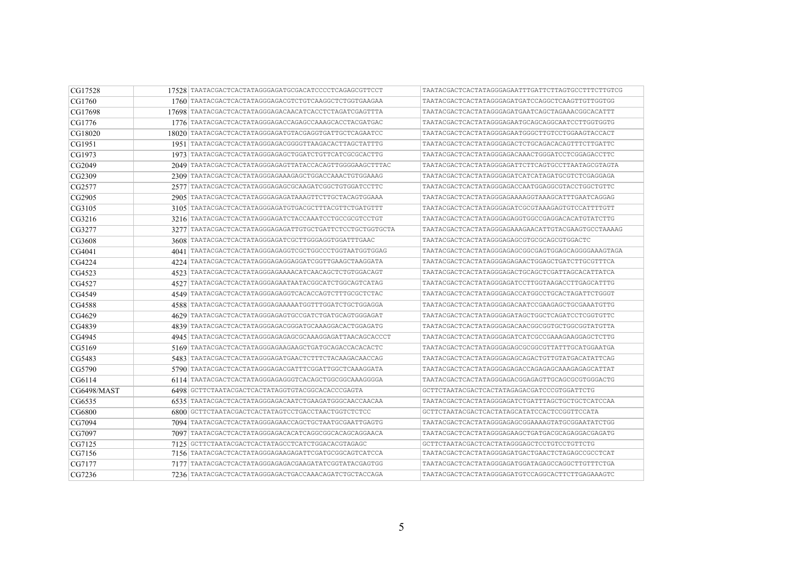| CG17528            |      | 17528 TAATACGACTCACTATAGGGAGATGCGACATCCCCTCAGAGCGTTCCT   | TAATACGACTCACTATAGGGAGAATTTGATTCTTAGTGCCTTTCTTGTCG |
|--------------------|------|----------------------------------------------------------|----------------------------------------------------|
| CG1760             |      | 1760   TAATACGACTCACTATAGGGAGACGTCTGTCAAGGCTCTGGTGAAGAA  | TAATACGACTCACTATAGGGAGATGATCCAGGCTCAAGTTGTTGGTGG   |
| CG17698            |      | 17698 TAATACGACTCACTATAGGGAGACAACATCACCTCTAGATCGAGTTTA   | TAATACGACTCACTATAGGGAGATGAATCAGCTAGAAACGGCACATTT   |
| CG1776             |      | 1776 TAATACGACTCACTATAGGGAGACCAGAGCCAAAGCACCTACGATGAC    | TAATACGACTCACTATAGGGAGAATGCAGCAGCCAATCCTTGGTGGTG   |
| CG18020            |      | 18020 TAATACGACTCACTATAGGGAGATGTACGAGGTGATTGCTCAGAATCC   | TAATACGACTCACTATAGGGAGAATGGGCTTGTCCTGGAAGTACCACT   |
| CG1951             |      | 1951 TAATACGACTCACTATAGGGAGACGGGGTTAAGACACTTAGCTATTTG    | TAATACGACTCACTATAGGGAGACTCTGCAGACACAGTTTCTTGATTC   |
| CG1973             |      | 1973 TAATACGACTCACTATAGGGAGAGCTGGATCTGTTCATCGCGCACTTG    | TAATACGACTCACTATAGGGAGACAAACTGGGATCCTCGGAGACCTTC   |
| CG2049             |      | 2049 TAATACGACTCACTATAGGGAGAGTTATACCACAGTTGGGGAAGCTTTAC  | TAATACGACTCACTATAGGGAGATTCTTCAGTGCCTTAATAGCGTAGTA  |
| CG2309             |      | 2309 TAATACGACTCACTATAGGGAGAAAGAGCTGGACCAAACTGTGGAAAG    | TAATACGACTCACTATAGGGAGATCATCATAGATGCGTCTCGAGGAGA   |
| CG2577             |      | 2577 TAATACGACTCACTATAGGGAGAGCGCAAGATCGGCTGTGGATCCTTC    | TAATACGACTCACTATAGGGAGACCAATGGAGGCGTACCTGGCTGTTC   |
| CG2905             |      | 2905 TAATACGACTCACTATAGGGAGAGATAAAGTTCTTGCTACAGTGGAAA    | TAATACGACTCACTATAGGGAGAAAAGGTAAAGCATTTGAATCAGGAG   |
| CG3105             |      | 3105   TAATACGACTCACTATAGGGAGATGTGACGCTTTACGTTCTGATGTTT  | TAATACGACTCACTATAGGGAGATCGCGTAAAGAGTGTCCATTTTGTT   |
| CG3216             |      | 3216 TAATACGACTCACTATAGGGAGATCTACCAAATCCTGCCGCGTCCTGT    | TAATACGACTCACTATAGGGAGAGGTGGCCGAGGACACATGTATCTTG   |
| CG3277             |      | 3277 TAATACGACTCACTATAGGGAGAGATTGTGCTGATTCTCCTGCTGGTGCTA | TAATACGACTCACTATAGGGAGAAAGAACATTGTACGAAGTGCCTAAAAG |
| CG3608             |      | 3608   TAATACGACTCACTATAGGGAGATCGCTTGGGAGGTGGATTTGAAC    | TAATACGACTCACTATAGGGAGAGCGTGCGCAGCGTGGACTC         |
| CG4041             | 4041 | TAATACGACTCACTATAGGGAGAGGTCGCTGGCCCTGGTAATGGTGGAG        | TAATACGACTCACTATAGGGAGAGCGGCGAGTGGAGCAGGGGAAAGTAGA |
| CG4224             |      | 4224 TAATACGACTCACTATAGGGAGAGGAGGATCGGTTGAAGCTAAGGATA    | TAATACGACTCACTATAGGGAGAGAACTGGAGCTGATCTTGCGTTTCA   |
| CG4523             |      | 4523   TAATACGACTCACTATAGGGAGAAAACATCAACAGCTCTGTGGACAGT  | TAATACGACTCACTATAGGGAGACTGCAGCTCGATTAGCACATTATCA   |
| CG4527             | 4527 | TAATACGACTCACTATAGGGAGAATAATACGGCATCTGGCAGTCATAG         | TAATACGACTCACTATAGGGAGATCCTTGGTAAGACCTTGAGCATTTG   |
| CG4549             |      | 4549 TAATACGACTCACTATAGGGAGAGGTCACACCAGTCTTTGCGCTCTAC    | TAATACGACTCACTATAGGGAGACCATGGCCTGCACTAGATTCTGGGT   |
| CG4588             |      | 4588   TAATACGACTCACTATAGGGAGAAAAATGGTTTGGATCTGCTGGAGGA  | TAATACGACTCACTATAGGGAGACAATCCGAAGAGCTGCGAAATGTTG   |
| CG4629             | 4629 | TAATACGACTCACTATAGGGAGAGTGCCGATCTGATGCAGTGGGAGAT         | TAATACGACTCACTATAGGGAGATAGCTGGCTCAGATCCTCGGTGTTC   |
| CG4839             | 4839 | TAATACGACTCACTATAGGGAGACGGGATGCAAAGGACACTGGAGATG         | TAATACGACTCACTATAGGGAGACAACGGCGGTGCTGGCGGTATGTTA   |
| CG4945             | 4945 | TAATACGACTCACTATAGGGAGAGAGCCCAAAGGAGATTAACAGCACCCT       | TAATACGACTCACTATAGGGAGATCATCGCCGAAAGAAGGAGCTCTTG   |
| CG5169             | 5169 | TAATACGACTCACTATAGGGAGAAGAAGCTGATGCAGACCACACACTC         | TAATACGACTCACTATAGGGAGAGCGCGGCGTTATTTGCATGGAATGA   |
| CG5483             |      | 5483   TAATACGACTCACTATAGGGAGATGAACTCTTTCTACAAGACAACCAG  | TAATACGACTCACTATAGGGAGAGCAGACTGTTGTATGACATATTCAG   |
| CG5790             |      | 5790 TAATACGACTCACTATAGGGAGACGATTTCGGATTGGCTCAAAGGATA    | TAATACGACTCACTATAGGGAGAGACCAGAGAGCAAAGAGAGCATTAT   |
| CG6114             |      | 6114 TAATACGACTCACTATAGGGAGAGGGTCACAGCTGGCGGCAAAGGGGA    | TAATACGACTCACTATAGGGAGACGGAGAGTTGCAGCGCGTGGGACTG   |
| <b>CG6498/MAST</b> |      | 6498 GCTTCTAATACGACTCACTATAGGTGTACGGCACACCCGAGTA         | GCTTCTAATACGACTCACTATAGAGACGATCCCGTGGATTCTG        |
| CG6535             |      |                                                          | TAATACGACTCACTATAGGGAGATCTGATTTAGCTGCTGCTCATCCAA   |
| CG6800             |      | 6800 GCTTCTAATACGACTCACTATAGTCCTGACCTAACTGGTCTCTCC       | GCTTCTAATACGACTCACTATAGCATATCCACTCCGGTTCCATA       |
| CG7094             |      | 7094 TAATACGACTCACTATAGGGAGAACCAGCTGCTAATGCGAATTGAGTG    | TAATACGACTCACTATAGGGAGAGCGGAAAAGTATGCGGAATATCTGG   |
| CG7097             |      | 7097 TAATACGACTCACTATAGGGAGACACATCAGGCGGCACAGCAGGAACA    | TAATACGACTCACTATAGGGAGAAGCTGATGACGCAGAGGACGAGATG   |
| CG7125             | 7125 | GCTTCTAATACGACTCACTATAGCCTCATCTGGACACGTAGAGC             |                                                    |
| CG7156             |      | 7156 TAATACGACTCACTATAGGGAGAAGAGATTCGATGCGGCAGTCATCCA    | TAATACGACTCACTATAGGGAGATGACTGAACTCTAGAGCCGCCTCAT   |
| CG7177             |      | 7177   TAATACGACTCACTATAGGGAGAGACGAAGATATCGGTATACGAGTGG  | TAATACGACTCACTATAGGGAGATGGATAGAGCCAGGCTTGTTTCTGA   |
| CG7236             |      | 7236   TAATACGACTCACTATAGGGAGACTGACCAAACAGATCTGCTACCAGA  | TAATACGACTCACTATAGGGAGATGTCCAGGCACTTCTTGAGAAAGTC   |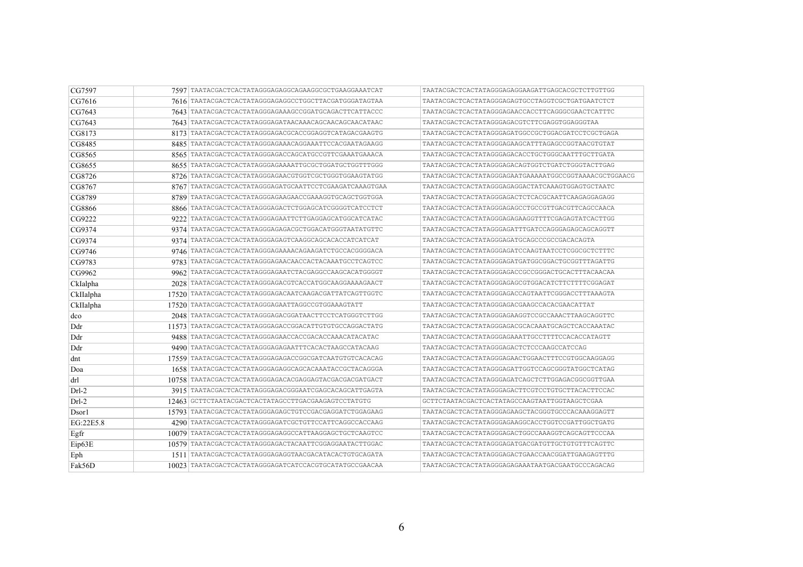| CG7597    | 7597 TAATACGACTCACTATAGGGAGAGGCAGAAGGCGCTGAAGGAAATCAT    | TAATACGACTCACTATAGGGAGAGGAAGATTGAGCACGCTCTTGTTGG      |
|-----------|----------------------------------------------------------|-------------------------------------------------------|
| CG7616    | 7616 TAATACGACTCACTATAGGGAGAGGCCTGGCTTACGATGGGATAGTAA    | TAATACGACTCACTATAGGGAGAGTGCCTAGGTCGCTGATGAATCTCT      |
| CG7643    | 7643   TAATACGACTCACTATAGGGAGAAAGCCGGATGCAGACTTCATTACCC  | TAATACGACTCACTATAGGGAGAACCACCTTCAGGGCGAACTCATTTC      |
| CG7643    | 7643 TAATACGACTCACTATAGGGAGATAACAAACAGCAACAGCAACATAAC    | TAATACGACTCACTATAGGGAGACGTCTTCGAGGTGGAGGGTAA          |
| CG8173    | 8173   TAATACGACTCACTATAGGGAGACGCACCGGAGGTCATAGACGAAGTG  | TAATACGACTCACTATAGGGAGATGGCCGCTGGACGATCCTCGCTGAGA     |
| CG8485    | 8485 TAATACGACTCACTATAGGGAGAAACAGGAAATTCCACGAATAGAAGG    | TAATACGACTCACTATAGGGAGAAGCATTTAGAGCCGGTAACGTGTAT      |
| CG8565    | 8565   TAATACGACTCACTATAGGGAGACCAGCATGCCGTTCGAAATGAAACA  | TAATACGACTCACTATAGGGAGACACCTGCTGGGCAATTTGCTTGATA      |
| CG8655    | 8655 TAATACGACTCACTATAGGGAGAAAATTGCGCTGGATGCTGGTTTGGG    | TAATACGACTCACTATAGGGAGACAGTGGTCTGATCTGGGTACTTGAG      |
| CG8726    | 8726 TAATACGACTCACTATAGGGAGAACGTGGTCGCTGGGTGGAAGTATGG    | TAATACGACTCACTATAGGGAGAATGAAAAATGGCCGGTAAAACGCTGGAACG |
| CG8767    | 8767   TAATACGACTCACTATAGGGAGATGCAATTCCTCGAAGATCAAAGTGAA | TAATACGACTCACTATAGGGAGAGGACTATCAAAGTGGAGTGCTAATC      |
| CG8789    | 8789   TAATACGACTCACTATAGGGAGAAGAACCGAAAGGTGCAGCTGGTGGA  | TAATACGACTCACTATAGGGAGACTCTCACGCAATTCAAGAGGAGAGG      |
| CG8866    | 8866   TAATACGACTCACTATAGGGAGACTCTGGAGCATCGGGGTCATCCTCT  | TAATACGACTCACTATAGGGAGAGCCTGCCGTTGACGTTCAGCCAACA      |
| CG9222    | 9222 TAATACGACTCACTATAGGGAGAATTCTTGAGGAGCATGGCATCATAC    | TAATACGACTCACTATAGGGAGAGAAGGTTTTCGAGAGTATCACTTGG      |
| CG9374    | 9374   TAATACGACTCACTATAGGGAGAGACGCTGGACATGGGTAATATGTTC  | TAATACGACTCACTATAGGGAGATTTGATCCAGGGAGAGCAGCAGGTT      |
| CG9374    | 9374   TAATACGACTCACTATAGGGAGAGTCAAGGCAGCACCATCATCAT     | TAATACGACTCACTATAGGGAGATGCAGCCCGCCGACACAGTA           |
| CG9746    | 9746 TAATACGACTCACTATAGGGAGAAAACAGAAGATCTGCCACGGGGACA    | TAATACGACTCACTATAGGGAGATCCAAGTAATCCTCGGCGCTCTTTC      |
| CG9783    | 9783 TAATACGACTCACTATAGGGAGAACAACCACTACAAATGCCTCAGTCC    | TAATACGACTCACTATAGGGAGATGATGGCGGACTGCGGTTTAGATTG      |
| CG9962    | 9962 TAATACGACTCACTATAGGGAGAATCTACGAGGCCAAGCACATGGGGT    | TAATACGACTCACTATAGGGAGACCGCCGGGACTGCACTTTACAACAA      |
| CkIalpha  | 2028   TAATACGACTCACTATAGGGAGACGTCACCATGGCAAGGAAAAGAACT  | TAATACGACTCACTATAGGGAGAGCGTGGACATCTTCTTTTCGGAGAT      |
| CkIIalpha | 17520 TAATACGACTCACTATAGGGAGACAATCAAGACGATTATCAGTTGGTC   | TAATACGACTCACTATAGGGAGACCAGTAATTCGGGACCTTTAAAGTA      |
| CkIIalpha | 17520 TAATACGACTCACTATAGGGAGAATTAGGCCGTGGAAAGTATT        | TAATACGACTCACTATAGGGAGACGAAGCCACACGAACATTAT           |
| dco       | 2048 TAATACGACTCACTATAGGGAGACGGATAACTTCCTCATGGGTCTTGG    | TAATACGACTCACTATAGGGAGAAGGTCCGCCAAACTTAAGCAGGTTC      |
| Ddr       | 11573 TAATACGACTCACTATAGGGAGACCGGACATTGTGTGCCAGGACTATG   | TAATACGACTCACTATAGGGAGACGCACAAATGCAGCTCACCAAATAC      |
| Ddr       |                                                          | TAATACGACTCACTATAGGGAGAAATTGCCTTTTCCACACCATAGTT       |
| Ddr       | 9490   TAATACGACTCACTATAGGGAGAGAATTTCACACTAAGCCATACAAG   | TAATACGACTCACTATAGGGAGACTCTCCCAAGCCATCCAG             |
| dnt       | 17559   TAATACGACTCACTATAGGGAGAGACCGGCGATCAATGTGTCACACAG | TAATACGACTCACTATAGGGAGAACTGGAACTTTCCGTGGCAAGGAGG      |
| Doa       | 1658 TAATACGACTCACTATAGGGAGAGGCAGCACAAATACCGCTACAGGGA    | TAATACGACTCACTATAGGGAGATTGGTCCAGCGGGTATGGCTCATAG      |
| drl       | 10758   TAATACGACTCACTATAGGGAGACACGAGGAGTACGACGACGATGACT | TAATACGACTCACTATAGGGAGATCAGCTCTTGGAGACGGCGGTTGAA      |
| $Drl-2$   | 3915   TAATACGACTCACTATAGGGAGACGGGAATCGAGCACAGCATTGAGTA  | TAATACGACTCACTATAGGGAGACTTCGTCCTGTGCTTACACTTCCAC      |
| $Drl-2$   | 12463 GCTTCTAATACGACTCACTATAGCCTTGACGAAGAGTCCTATGTG      | GCTTCTAATACGACTCACTATAGCCAAGTAATTGGTAAGCTCGAA         |
| Dsor1     | 15793 TAATACGACTCACTATAGGGAGAGCTGTCCGACGAGGATCTGGAGAAG   | TAATACGACTCACTATAGGGAGAAGCTACGGGTGCCCACAAAGGAGTT      |
| EG:22E5.8 | 4290   TAATACGACTCACTATAGGGAGATCGCTGTTCCATTCAGGCCACCAAG  | TAATACGACTCACTATAGGGAGAAGGCACCTGGTCCGATTGGCTGATG      |
| Egfr      | 10079 TAATACGACTCACTATAGGGAGAGGCCATTAAGGAGCTGCTCAAGTCC   | TAATACGACTCACTATAGGGAGACTGGCCAAAGGTCAGCAGTTCCCAA      |
| Eip63E    | 10579   TAATACGACTCACTATAGGGAGACTACAATTCGGAGGAATACTTGGAC | TAATACGACTCACTATAGGGAGATGACGATGTTGCTGTGTTTCAGTTC      |
| Eph       | 1511   TAATACGACTCACTATAGGGAGAGGTAACGACATACACTGTGCAGATA  | TAATACGACTCACTATAGGGAGACTGAACCAACGGATTGAAGAGTTTG      |
| Fak56D    | 10023 TAATACGACTCACTATAGGGAGATCATCCACGTGCATATGCCGAACAA   | TAATACGACTCACTATAGGGAGAGAAATAATGACGAATGCCCAGACAG      |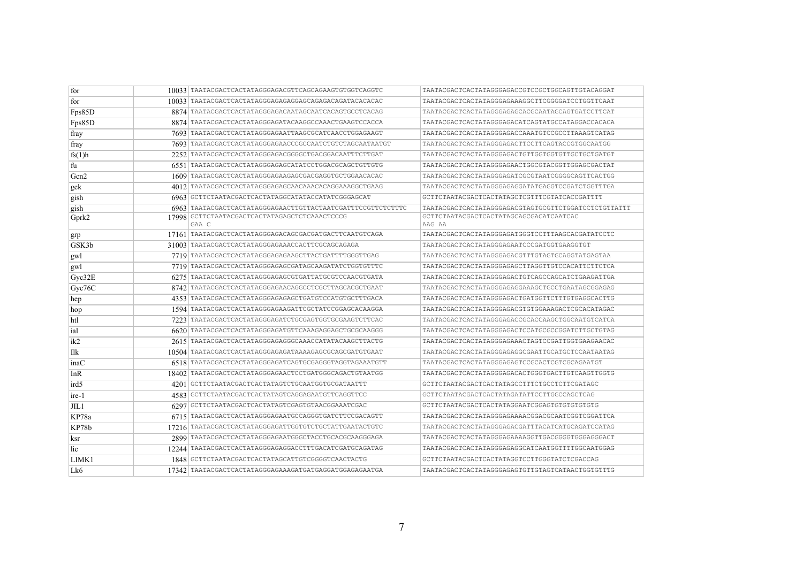| for              | 10033 TAATACGACTCACTATAGGGAGACGTTCAGCAGAAGTGTGGTCAGGTC      | TAATACGACTCACTATAGGGAGACCGTCCGCTGGCAGTTGTACAGGAT     |
|------------------|-------------------------------------------------------------|------------------------------------------------------|
| for              |                                                             | TAATACGACTCACTATAGGGAGAAAGGCTTCGGGGATCCTGGTTCAAT     |
| Fps85D           | 8874 TAATACGACTCACTATAGGGAGACAATAGCAATCACAGTGCCTCACAG       | TAATACGACTCACTATAGGGAGAGCACGCAATAGCAGTGATCCTTCAT     |
| Fps85D           | 8874 TAATACGACTCACTATAGGGAGATACAAGGCCAAACTGAAGTCCACCA       | TAATACGACTCACTATAGGGAGACATCAGTATGCCATAGGACCACACA     |
| fray             | 7693 TAATACGACTCACTATAGGGAGAATTAAGCGCATCAACCTGGAGAAGT       | TAATACGACTCACTATAGGGAGACCAAATGTCCGCCTTAAAGTCATAG     |
| fray             | 7693 TAATACGACTCACTATAGGGAGAACCCGCCAATCTGTCTAGCAATAATGT     | TAATACGACTCACTATAGGGAGACTTCCTTCAGTACCGTGGCAATGG      |
| fs(1)h           | 2252 TAATACGACTCACTATAGGGAGACGGGCTGACGGACAATTTCTTGAT        | TAATACGACTCACTATAGGGAGACTGTTGGTGGTGTTGCTGCTGATGT     |
| fu               | 6551 TAATACGACTCACTATAGGGAGAGCATATCCTGGACGCAGCTGTTGTG       | TAATACGACTCACTATAGGGAGAACTGGCGTACGGTTGGAGCGACTAT     |
| Gcn <sub>2</sub> | 1609   TAATACGACTCACTATAGGGAGAAGAGCGACGAGGTGCTGGAACACAC     | TAATACGACTCACTATAGGGAGATCGCGTAATCGGGGCAGTTCACTGG     |
| gek              | 4012   TAATACGACTCACTATAGGGAGAGCAACAAACACAGGAAAGGCTGAAG     | TAATACGACTCACTATAGGGAGAGGATATGAGGTCCGATCTGGTTTGA     |
| gish             | 6963 GCTTCTAATACGACTCACTATAGGCATATACCATATCGGGAGCAT          | GCTTCTAATACGACTCACTATAGCTCGTTTCGTATCACCGATTTT        |
| gish             | 6963 TAATACGACTCACTATAGGGAGAACTTGTTACTAATCGATTTCCGTTCTCTTTC | TAATACGACTCACTATAGGGAGACGTAGTGCGTTCTGGATCCTCTGTTATTT |
| Gprk2            | 17998 GCTTCTAATACGACTCACTATAGAGCTCTCAAACTCCCG<br>GAA C      | GCTTCTAATACGACTCACTATAGCAGCGACATCAATCAC<br>AAG AA    |
| grp              | 17161   TAATACGACTCACTATAGGGAGACAGCGACGATGACTTCAATGTCAGA    | TAATACGACTCACTATAGGGAGATGGGTCCTTTAAGCACGATATCCTC     |
| GSK3b            | 31003   TAATACGACTCACTATAGGGAGAAACCACTTCGCAGCAGAGA          | TAATACGACTCACTATAGGGAGAATCCCGATGGTGAAGGTGT           |
| gwl              | 7719   TAATACGACTCACTATAGGGAGAGAAGCTTACTGATTTTGGGTTGAG      | TAATACGACTCACTATAGGGAGACGTTTGTAGTGCAGGTATGAGTAA      |
| gwl              | 7719   TAATACGACTCACTATAGGGAGAGCGATAGCAAGATATCTGGTGTTTC     | TAATACGACTCACTATAGGGAGAGCTTAGGTTGTCCACATTCTTCTCA     |
| Gyc32E           | 6275   TAATACGACTCACTATAGGGAGAGCGTGATTATGCGTCCAACGTGATA     | TAATACGACTCACTATAGGGAGACTGTCAGCCAGCATCTGAAGATTGA     |
| Gyc76C           | 8742   TAATACGACTCACTATAGGGAGAACAGGCCTCGCTTAGCACGCTGAAT     | TAATACGACTCACTATAGGGAGAGGAAAGCTGCCTGAATAGCGGAGAG     |
| hep              | 4353   TAATACGACTCACTATAGGGAGAGAGCTGATGTCCATGTGCTTTGACA     | TAATACGACTCACTATAGGGAGACTGATGGTTCTTTGTGAGGCACTTG     |
| hop              | 1594   TAATACGACTCACTATAGGGAGAAGATTCGCTATCCGGAGCACAAGGA     | TAATACGACTCACTATAGGGAGACGTGTGGAAAGACTCGCACATAGAC     |
| htl              | 7223 TAATACGACTCACTATAGGGAGATCTGCGAGTGGTGCGAAGTCTTCAC       | TAATACGACTCACTATAGGGAGACCGCACCAAGCTGGCAATGTCATCA     |
| ial              | 6620 TAATACGACTCACTATAGGGAGATGTTCAAAGAGGAGCTGCGCAAGGG       | TAATACGACTCACTATAGGGAGACTCCATGCGCCGGATCTTGCTGTAG     |
| ik2              | 2615 TAATACGACTCACTATAGGGAGAGGGCAAACCATATACAAGCTTACTG       | TAATACGACTCACTATAGGGAGAAACTAGTCCGATTGGTGAAGAACAC     |
| Ilk              | 10504 TAATACGACTCACTATAGGGAGAGATAAAAGAGCGCAGCGATGTGAAT      | TAATACGACTCACTATAGGGAGAGGCGAATTGCATGCTCCAATAATAG     |
| inaC             |                                                             | TAATACGACTCACTATAGGGAGAGTCCGCACTCGTCGCAGAATGT        |
| InR              | 18402   TAATACGACTCACTATAGGGAGAACTCCTGATGGGCAGACTGTAATGG    | TAATACGACTCACTATAGGGAGACACTGGGTGACTTGTCAAGTTGGTG     |
| ird5             | 4201   GCTTCTAATACGACTCACTATAGTCTGCAATGGTGCGATAATTT         | GCTTCTAATACGACTCACTATAGCCTTTCTGCCTCTTCGATAGC         |
| ire-1            | 4583 GCTTCTAATACGACTCACTATAGTCAGGAGAATGTTCAGGTTCC           | GCTTCTAATACGACTCACTATAGATATTCCTTGGCCAGCTCAG          |
| JIL 1            | 6297 GCTTCTAATACGACTCACTATAGTCGAGTGTAACGGAAATCGAC           |                                                      |
| KP78a            | 6715   TAATACGACTCACTATAGGGAGAATGCCAGGGTGATCTTCCGACAGTT     |                                                      |
| KP78b            | 17216 TAATACGACTCACTATAGGGAGATTGGTGTCTGCTATTGAATACTGTC      | TAATACGACTCACTATAGGGAGACGATTTACATCATGCAGATCCATAG     |
| ksr              | 2899 TAATACGACTCACTATAGGGAGAATGGGCTACCTGCACGCAAGGGAGA       |                                                      |
| lic.             | 12244 TAATACGACTCACTATAGGGAGAGGACCTTTGACATCGATGCAGATAG      | TAATACGACTCACTATAGGGAGAGGCATCAATGGTTTTGGCAATGGAG     |
| LIMK1            | 1848 GCTTCTAATACGACTCACTATAGCATTGTCGGGGTCAACTACTG           | GCTTCTAATACGACTCACTATAGGTCCTTGGGTATCTCGACCAG         |
| Lk6              | 17342 TAATACGACTCACTATAGGGAGAAAGATGATGAGGATGGAGAGAATGA      | TAATACGACTCACTATAGGGAGAGTGTTGTAGTCATAACTGGTGTTTG     |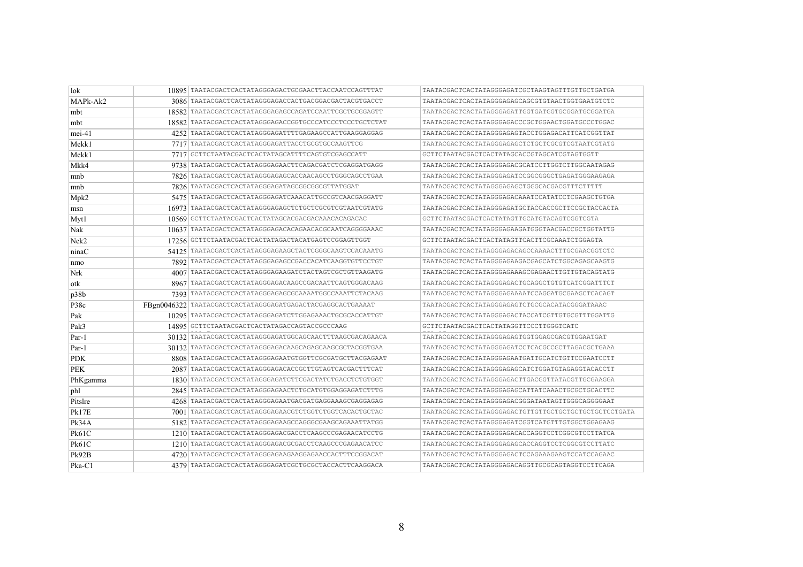| lok              | 10895 TAATACGACTCACTATAGGGAGACTGCGAACTTACCAATCCAGTTTAT     | TAATACGACTCACTATAGGGAGATCGCTAAGTAGTTTGTTGCTGATGA      |
|------------------|------------------------------------------------------------|-------------------------------------------------------|
| MAPk-Ak2         | 3086 TAATACGACTCACTATAGGGAGACCACTGACGGACGACTACGTGACCT      | TAATACGACTCACTATAGGGAGAGCAGCGTGTAACTGGTGAATGTCTC      |
| mbt              | 18582 TAATACGACTCACTATAGGGAGAGCCAGATCCAATTCGCTGCGGAGTT     | TAATACGACTCACTATAGGGAGATTGGTGATGGTGCGGATGCGGATGA      |
| mbt              |                                                            | TAATACGACTCACTATAGGGAGACCCGCTGGAACTGGATGCCCTGGAC      |
| $mei-41$         | 4252 TAATACGACTCACTATAGGGAGATTTTGAGAAGCCATTGAAGGAGGAG      | TAATACGACTCACTATAGGGAGAGTACCTGGAGACATTCATCGGTTAT      |
| Mekk1            | 7717 TAATACGACTCACTATAGGGAGATTACCTGCGTGCCAAGTTCG           | TAATACGACTCACTATAGGGAGAGCTCTGCTCGCGTCGTAATCGTATG      |
| Mekk1            | 7717 GCTTCTAATACGACTCACTATAGCATTTTCAGTGTCGAGCCATT          | GCTTCTAATACGACTCACTATAGCACCGTAGCATCGTAGTGGTT          |
| Mkk4             | 9738 TAATACGACTCACTATAGGGAGAACTTCAGACGATCTCGAGGATGAGG      | TAATACGACTCACTATAGGGAGACGCATCCTTGGTCTTGGCAATAGAG      |
| mnb              | 7826 TAATACGACTCACTATAGGGAGAGCACCAACAGCCTGGGCAGCCTGAA      | TAATACGACTCACTATAGGGAGATCCGGCGGCTGAGATGGGAAGAGA       |
| mnb              | 7826 TAATACGACTCACTATAGGGAGATAGCGGCGGCGTTATGGAT            | TAATACGACTCACTATAGGGAGAGCTGGGCACGACGTTTCTTTTT         |
| $\vert$ Mpk2     | 5475 TAATACGACTCACTATAGGGAGATCAAACATTGCCGTCAACGAGGATT      | TAATACGACTCACTATAGGGAGACAAATCCATATCCTCGAAGCTGTGA      |
| msn              | 16973 TAATACGACTCACTATAGGGAGAGCTCTGCTCGCGTCGTAATCGTATG     | TAATACGACTCACTATAGGGAGATGCTACCACCGCTTCCGCTACCACTA     |
| Myt1             | 10569 GCTTCTAATACGACTCACTATAGCACGACGACAAACACAGACAC         |                                                       |
| Nak              | 10637 TAATACGACTCACTATAGGGAGACACAGAACACGCAATCAGGGGAAAC     | TAATACGACTCACTATAGGGAGAAGATGGGTAACGACCGCTGGTATTG      |
| Nek <sub>2</sub> | 17256 GCTTCTAATACGACTCACTATAGACTACATGAGTCCGGAGTTGGT        | GCTTCTAATACGACTCACTATAGTTCACTTCGCAAATCTGGAGTA         |
| ninaC            | 54125 TAATACGACTCACTATAGGGAGAAGCTACTCGGGCAAGTCCACAAATG     | TAATACGACTCACTATAGGGAGACAGCCAAAACTTTGCGAACGGTCTC      |
| nmo              | 7892 TAATACGACTCACTATAGGGAGAGCCGACCACATCAAGGTGTTCCTGT      | TAATACGACTCACTATAGGGAGAAGACGAGCATCTGGCAGAGCAAGTG      |
| Nrk              | 4007 TAATACGACTCACTATAGGGAGAAGATCTACTAGTCGCTGTTAAGATG      | TAATACGACTCACTATAGGGAGAAAGCGAGAACTTGTTGTACAGTATG      |
| otk              | 8967   TAATACGACTCACTATAGGGAGACAAGCCGACAATTCAGTGGGACAAG    | TAATACGACTCACTATAGGGAGACTGCAGGCTGTGTCATCGGATTTCT      |
| p38b             | 7393 TAATACGACTCACTATAGGGAGAGCGCAAAATGGCCAAATTCTACAAG      | TAATACGACTCACTATAGGGAGAAAATCCAGGATGCGAAGCTCACAGT      |
| P38c             | FBgn0046322 TAATACGACTCACTATAGGGAGATGAGACTACGAGGCACTGAAAAT | TAATACGACTCACTATAGGGAGAGTCTGCGCACATACGGGATAAAC        |
| Pak              | 10295   TAATACGACTCACTATAGGGAGATCTTGGAGAAACTGCGCACCATTGT   | TAATACGACTCACTATAGGGAGACTACCATCGTTGTGCGTTTGGATTG      |
| Pak3             | 14895 GCTTCTAATACGACTCACTATAGACCAGTACCGCCCAAG              | GCTTCTAATACGACTCACTATAGGTTCCCTTGGGTCATC               |
| Par-1            | 30132 TAATACGACTCACTATAGGGAGATGGCAGCAACTTTAAGCGACAGAACA    | TAATACGACTCACTATAGGGAGAGTGGTGGAGCGACGTGGAATGAT        |
| Par-1            | 30132 TAATACGACTCACTATAGGGAGACAAGCAGAGCAAGCGCTACGGTGAA     | TAATACGACTCACTATAGGGAGATCCTCACGCCGCTTAGACGCTGAAA      |
| <b>PDK</b>       | 8808 TAATACGACTCACTATAGGGAGAATGTGGTTCGCGATGCTTACGAGAAT     | TAATACGACTCACTATAGGGAGAATGATTGCATCTGTTCCGAATCCTT      |
| <b>PEK</b>       | 2087 TAATACGACTCACTATAGGGAGACACCGCTTGTAGTCACGACTTTCAT      | TAATACGACTCACTATAGGGAGAGCATCTGGATGTAGAGGTACACCTT      |
| PhKgamma         | 1830 TAATACGACTCACTATAGGGAGATCTTCGACTATCTGACCTCTGTGGT      | TAATACGACTCACTATAGGGAGACTTGACGGTTATACGTTGCGAAGGA      |
| phl              | 2845 TAATACGACTCACTATAGGGAGAACTCTGCATGTGGAGGAGATCTTTG      | TAATACGACTCACTATAGGGAGAGCATTATCAAACTGCGCTGCACTTC      |
| Pitslre          | 4268 TAATACGACTCACTATAGGGAGAATGACGATGAGGAAAGCGAGGAGAG      | TAATACGACTCACTATAGGGAGACGGGATAATAGTTGGGCAGGGGAAT      |
| <b>Pk17E</b>     | 7001 TAATACGACTCACTATAGGGAGAACGTCTGGTCTGGTCACACTGCTAC      | TAATACGACTCACTATAGGGAGACTGTTGTTGCTGCTGCTGCTGCTCCTGATA |
| PK34A            | 5182 TAATACGACTCACTATAGGGAGAAGCCAGGGCGAAGCAGAAATTATGG      | TAATACGACTCACTATAGGGAGATCGGTCATGTTTGTGGCTGGAGAAG      |
| PK61C            | 1210 TAATACGACTCACTATAGGGAGACGACCTCAAGCCCGAGAACATCCTG      | TAATACGACTCACTATAGGGAGACACCAGGTCCTCGGCGTCCTTATCA      |
| PK61C            | 1210 TAATACGACTCACTATAGGGAGACGCGACCTCAAGCCCGAGAACATCC      | TAATACGACTCACTATAGGGAGAGCACCAGGTCCTCGGCGTCCTTATC      |
| Pk92B            | 4720   TAATACGACTCACTATAGGGAGAAGGAGGAACCACTTTCCGGACAT      |                                                       |
| $P$ ka-C1        | 4379 TAATACGACTCACTATAGGGAGATCGCTGCGCTACCACTTCAAGGACA      | TAATACGACTCACTATAGGGAGACAGGTTGCGCAGTAGGTCCTTCAGA      |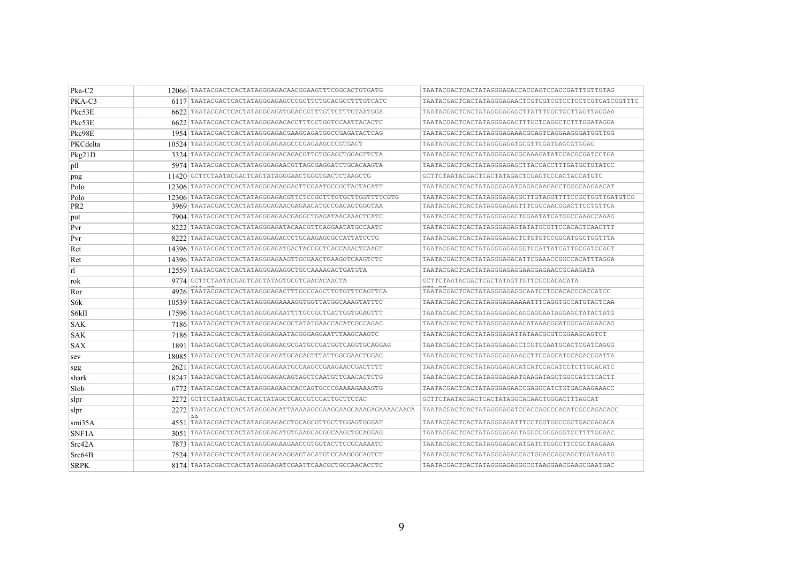| $P$ ka-C2       |      | 12066 TAATACGACTCACTATAGGGAGACAACGGAAGTTTCGGCACTGTGATG     | TAATACGACTCACTATAGGGAGACCACCAGTCCACCGATTTGTTGTAG       |
|-----------------|------|------------------------------------------------------------|--------------------------------------------------------|
| $PKA-C3$        |      | 6117 TAATACGACTCACTATAGGGAGAGCCCGCTTCTGCACGCCTTTGTCATC     | TAATACGACTCACTATAGGGAGAACTCGTCGTCGTCCTCCTCGTCATCGGTTTC |
| Pkc53E          |      | 6622 TAATACGACTCACTATAGGGAGATGGACCGTTTGTTCTTTGTAATGGA      |                                                        |
| Pkc53E          |      | 6622 TAATACGACTCACTATAGGGAGACACCTTTCCTGGTCCAATTACACTC      | TAATACGACTCACTATAGGGAGACTTTGCTCAGGCTCTTTGGATAGGA       |
| Pkc98E          |      | 1954 TAATACGACTCACTATAGGGAGACGAAGCAGATGGCCGAGATACTCAG      | TAATACGACTCACTATAGGGAGAAACGCAGTCAGGAAGGGATGGTTGG       |
| PKCdelta        |      | 10524 TAATACGACTCACTATAGGGAGAAGCCCGAGAAGCCCGTGACT          | TAATACGACTCACTATAGGGAGATGCGTTCGATGAGCGTGGAG            |
| Pkg21D          |      | 3324 TAATACGACTCACTATAGGGAGACAGACGTTCTGGAGCTGGAGTTCTA      | TAATACGACTCACTATAGGGAGAGGCAAAGATATCCACGCGATCCTGA       |
| pll             |      | 5974 TAATACGACTCACTATAGGGAGAACGTTAGCGAGGATCTGCACAAGTA      | TAATACGACTCACTATAGGGAGAGCTTACCACCTTTGATGCTGTATCC       |
| png             |      | 11420 GCTTCTAATACGACTCACTATAGGGAACTGGGTGACTCTAAGCTG        | GCTTCTAATACGACTCACTATAGACTCGAGTCCCACTACCATGTC          |
| Polo            |      | 12306 TAATACGACTCACTATAGGGAGAGGAGTTCGAATGCCGCTACTACATT     | TAATACGACTCACTATAGGGAGATCAGACAAGAGCTGGGCAAGAACAT       |
| Polo            |      | 12306 TAATACGACTCACTATAGGGAGACGTTCTCCGCTTTGTGCTTGGTTTTCGTG | TAATACGACTCACTATAGGGAGACGCTTGTAGGTTTTCCGCTGGTTGATGTCG  |
| PR <sub>2</sub> |      | 3969 TAATACGACTCACTATAGGGAGAACGAGAACATGCCGACAGTGGGTAA      | TAATACGACTCACTATAGGGAGAGTTTCGGCAACGGACTTCCTGTTCA       |
| put             |      | 7904 TAATACGACTCACTATAGGGAGAACGAGGCTGAGATAACAAACTCATC      | TAATACGACTCACTATAGGGAGACTGGAATATCATGGCCAAACCAAAG       |
| Pvr             | 8222 | TAATACGACTCACTATAGGGAGATACAACGTTCAGGAATATGCCAATC           | TAATACGACTCACTATAGGGAGAGTATATGCGTTCCACACTCAACTTT       |
| Pvr             |      | 8222 TAATACGACTCACTATAGGGAGACCCTGCAAGAGCGCCATTATCCTG       | TAATACGACTCACTATAGGGAGACTCTGTGTCCGGCATGGCTGGTTTA       |
| Ret             |      | 14396   TAATACGACTCACTATAGGGAGATGACTACCGCTCACCAAACTCAAGT   | TAATACGACTCACTATAGGGAGAGGGTCCATTATCATTGCGATCCAGT       |
| Ret             |      | 14396 TAATACGACTCACTATAGGGAGAAGTTGCGAACTGAAGGTCAAGTCTC     | TAATACGACTCACTATAGGGAGACATTCGAAACCGGCCACATTTAGGA       |
| r1              |      | 12559   TAATACGACTCACTATAGGGAGAGGCTGCCAAAAGACTGATGTA       | TAATACGACTCACTATAGGGAGAGGAAGGAAACCGCAAGATA             |
| rok             |      | 9774 GCTTCTAATACGACTCACTATAGTGCGTCAACACAACTA               | GCTTCTAATACGACTCACTATAGTTGTTCGCGACACATA                |
| Ror             |      | 4926 TAATACGACTCACTATAGGGAGACTTTGCCCAGCTTGTGTTTCAGTTCA     |                                                        |
| S6k             |      | 10539 TAATACGACTCACTATAGGGAGAAAAGGTGGTTATGGCAAAGTATTTC     | TAATACGACTCACTATAGGGAGAAAAATTTCAGGTGCCATGTACTCAA       |
| S6kII           |      | 17596   TAATACGACTCACTATAGGGAGAATTTTGCCGCTGATTGGTGGAGTTT   | TAATACGACTCACTATAGGGAGACAGCAGGAATAGGAGCTATACTATG       |
| <b>SAK</b>      |      | 7186 TAATACGACTCACTATAGGGAGACGCTATATGAACCACATCGCCAGAC      | TAATACGACTCACTATAGGGAGAAACATAAAGGGATGGCAGAGAACAG       |
| <b>SAK</b>      |      | 7186   TAATACGACTCACTATAGGGAGAATACGGGAGGAATTTAAGCAAGTC     | TAATACGACTCACTATAGGGAGATTATAACGCGTCGGAAGCAGTCT         |
| <b>SAX</b>      |      | 1891 TAATACGACTCACTATAGGGAGACGCGATGCCGATGGTCAGGTGCAGGAG    | TAATACGACTCACTATAGGGAGACCTCGTCCAATGCACTCGATCAGGG       |
| sev             |      | 18085   TAATACGACTCACTATAGGGAGATGCAGAGTTTATTGGCGAACTGGAC   | TAATACGACTCACTATAGGGAGAAAGCTTCCAGCATGCAGACGGATTA       |
| sgg             |      | 2621 TAATACGACTCACTATAGGGAGAATGCCAAGCCGAAGAACCGACTTTT      | TAATACGACTCACTATAGGGAGACATCATCCACATCCTCTTGCACATC       |
| shark           |      | 18247 TAATACGACTCACTATAGGGAGACAGTAGCTCAATGTTCAACACTCTG     | TAATACGACTCACTATAGGGAGAATGAAGATAGCTGGCCATCTCACTT       |
| Slob            |      |                                                            | TAATACGACTCACTATAGGGAGAACCGAGGCATCTGTGACAAGAAACC       |
| slpr            |      | 2272 GCTTCTAATACGACTCACTATAGCTCACCGTCCATTGCTTCTAC          | GCTTCTAATACGACTCACTATAGGCACAACTGGGACTTTAGCAT           |
| slpr            |      |                                                            | TAATACGACTCACTATAGGGAGATCCACCAGCCCACATCGCCAGACACC      |
| smi35A          |      | 4551 TAATACGACTCACTATAGGGAGACCTGCAGCGTTGCTTGGAGTGGGAT      | TAATACGACTCACTATAGGGAGATTTCCTGGTGGCCGCTGACGAGACA       |
| SNF1A           |      | 3051   TAATACGACTCACTATAGGGAGATGTGAAGCACGGCAAGCTGCAGGAG    | TAATACGACTCACTATAGGGAGAGTAGGCCGGGAGGTCCTTTTGGAAC       |
| Src42A          |      | 7873 TAATACGACTCACTATAGGGAGAAGAACCGTGGTACTTCCGCAAAATC      | TAATACGACTCACTATAGGGAGACATGATCTGGGCTTCCGCTAAGAAA       |
| Src64B          |      | 7524 TAATACGACTCACTATAGGGAGAAGGAGTACATGTCCAAGGGCAGTCT      | TAATACGACTCACTATAGGGAGAGCACTGGAGCAGCAGCTGATAAATG       |
| <b>SRPK</b>     |      | 8174 TAATACGACTCACTATAGGGAGATCGAATTCAACGCTGCCAACACCTC      | TAATACGACTCACTATAGGGAGAGGGCGTAAGGAACGAAGCGAATGAC       |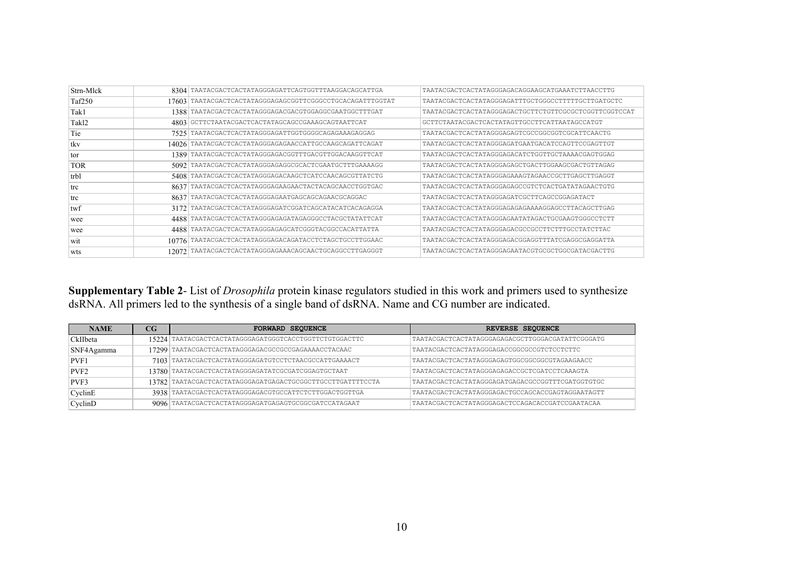| Strn-Mlck         |        | 8304 TAATACGACTCACTATAGGGAGATTCAGTGGTTTAAGGACAGCATTGA  | TAATACGACTCACTATAGGGAGACAGGAAGCATGAAATCTTAACCTTG      |
|-------------------|--------|--------------------------------------------------------|-------------------------------------------------------|
| Taf250            | 17603. | TAATACGACTCACTATAGGGAGAGCGGTTCGGGCCTGCACAGATTTGGTAT    | TAATACGACTCACTATAGGGAGATTTGCTGGGCCTTTTTGCTTGATGCTC    |
| Tak1              | 1388   | TAATACGACTCACTATAGGGAGACGACGTGGAGGCGAATGGCTTTGAT       | TAATACGACTCACTATAGGGAGACTGCTTCTGTTCGCGCTCGGTTCGGTCCAT |
| Tak <sub>12</sub> | 4803   | GCTTCTAATACGACTCACTATAGCAGCCGAAAGCAGTAATTCAT           | GCTTCTAATACGACTCACTATAGTTGCCTTCATTAATAGCCATGT         |
| Tie               | 7525   | TAATACGACTCACTATAGGGAGATTGGTGGGGCAGAGAAAGAGGAG         | TAATACGACTCACTATAGGGAGAGTCGCCGGCGGTCGCATTCAACTG       |
| tkv               | 14026  | TAATACGACTCACTATAGGGAGAGAACCATTGCCAAGCAGATTCAGAT       | TAATACGACTCACTATAGGGAGATGAATGACATCCAGTTCCGAGTTGT      |
| tor               | 1389   | TAATACGACTCACTATAGGGAGACGGTTTGACGTTGGACAAGGTTCAT       | TAATACGACTCACTATAGGGAGACATCTGGTTGCTAAAACGAGTGGAG      |
| <b>TOR</b>        | 5092   | TAATACGACTCACTATAGGGAGAGGCGCACTCGAATGCTTTGAAAAGG       | TAATACGACTCACTATAGGGAGAGCTGACTTGGAAGCGACTGTTAGAG      |
| trbl              | 5408   | TAATACGACTCACTATAGGGAGACAAGCTCATCCAACAGCGTTATCTG       | TAATACGACTCACTATAGGGAGAAAGTAGAACCGCTTGAGCTTGAGGT      |
| trc               | 8637   | TAATACGACTCACTATAGGGAGAAGAACTACTACAGCAACCTGGTGAC       | TAATACGACTCACTATAGGGAGAGCCGTCTCACTGATATAGAACTGTG      |
| trc               | 8637   | TAATACGACTCACTATAGGGAGAATGAGCAGCAGAACGCAGGAC           | TAATACGACTCACTATAGGGAGATCGCTTCAGCCGGAGATACT           |
| twf               | 3172   | TAATACGACTCACTATAGGGAGATCGGATCAGCATACATCACAGAGGA       | TAATACGACTCACTATAGGGAGAGAGAAAAGGAGCCTTACAGCTTGAG      |
| wee               | 44881  | TAATACGACTCACTATAGGGAGAGATAGAGGGCCTACGCTATATTCAT       | TAATACGACTCACTATAGGGAGAATATAGACTGCGAAGTGGGCCTCTT      |
| wee               | 4488   | TAATACGACTCACTATAGGGAGAGCATCGGGTACGGCCACATTATTA        | TAATACGACTCACTATAGGGAGACGCCCCCTTCTTTGCCTATCTTAC       |
| wit               | 107761 | TAATACGACTCACTATAGGGAGACAGATACCTCTAGCTGCCTTGGAAC       | TAATACGACTCACTATAGGGAGACGGAGGTTTATCGAGGCGAGGATTA      |
| wts               |        | 12072 TAATACGACTCACTATAGGGAGAAACAGCAACTGCAGGCCTTGAGGGT | TAATACGACTCACTATAGGGAGAATACGTGCGCTGGCGATACGACTTG      |

# Supplementary Table 2- List of *Drosophila* protein kinase regulators studied in this work and primers used to synthesize dsRNA. All primers led to the synthesis of a single band of dsRNA. Name and CG number are indicated.

| <b>NAME</b>   | $_{\rm CG}$ | <b>FORWARD SEQUENCE</b>                                    | REVERSE SEQUENCE                                 |
|---------------|-------------|------------------------------------------------------------|--------------------------------------------------|
| CkIIbeta      |             | 15224 TAATACGACTCACTATAGGGAGATGGGTCACCTGGTTCTGTGGACTTC     | TAATACGACTCACTATAGGGAGAGACGCTTGGGACGATATTCGGGATG |
| SNF4Agamma    |             | 17299 TAATACGACTCACTATAGGGAGACGCCGCCGAGAAAACCTACAAC        | TAATACGACTCACTATAGGGAGACCGGCGCCCTCTCCTCTTC       |
| PVF1          |             | 7103 TAATACGACTCACTATAGGGAGATGTCCTCTAACGCCATTGAAAACT       | TAATACGACTCACTATAGGGAGAGTGGCGGCGGCGTAGAAGAACC    |
| PVF2          |             | 13780 TAATACGACTCACTATAGGGAGATATCGCGATCGGAGTGCTAAT         | TAATACGACTCACTATAGGGAGAGACCGCTCGATCCTCAAAGTA     |
| PVF3          |             | 13782 TAATACGACTCACTATAGGGAGATGAGACTGCGGCTTGCCTTGATTTTCCTA | TAATACGACTCACTATAGGGAGATGAGACGCCGGTTTCGATGGTGTGC |
| Cyclin E      |             | 3938 TAATACGACTCACTATAGGGAGACGTGCCATTCTCTTGGACTGGTTGA      | TAATACGACTCACTATAGGGAGACTGCCAGCACCGAGTAGGAATAGTT |
| $C$ vclin $D$ |             | 9096 TAATACGACTCACTATAGGGAGATGAGAGTGCGGCGATCCATAGAAT       | TAATACGACTCACTATAGGGAGACTCCAGACACCGATCCGAATACAA  |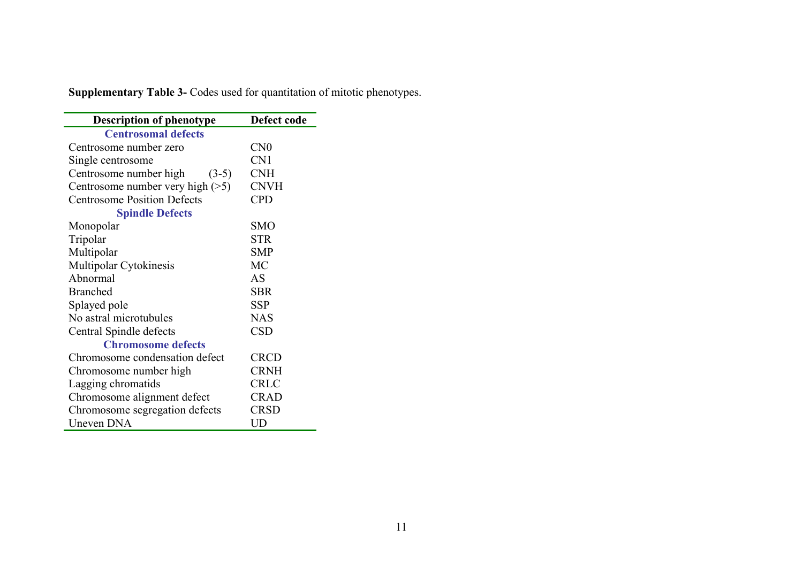| <b>Supplementary Table 3-</b> Codes used for quantitation of mitotic phenotypes. |  |  |  |
|----------------------------------------------------------------------------------|--|--|--|
|                                                                                  |  |  |  |

| <b>Description of phenotype</b>    | Defect code     |
|------------------------------------|-----------------|
| <b>Centrosomal defects</b>         |                 |
| Centrosome number zero             | CN <sub>0</sub> |
| Single centrosome                  | CN1             |
| Centrosome number high<br>$(3-5)$  | <b>CNH</b>      |
| Centrosome number very high $(>5)$ | <b>CNVH</b>     |
| <b>Centrosome Position Defects</b> | <b>CPD</b>      |
| <b>Spindle Defects</b>             |                 |
| Monopolar                          | <b>SMO</b>      |
| Tripolar                           | <b>STR</b>      |
| Multipolar                         | SMP             |
| Multipolar Cytokinesis             | <b>MC</b>       |
| Abnormal                           | AS              |
| <b>Branched</b>                    | <b>SBR</b>      |
| Splayed pole                       | <b>SSP</b>      |
| No astral microtubules             | <b>NAS</b>      |
| Central Spindle defects            | <b>CSD</b>      |
| <b>Chromosome defects</b>          |                 |
| Chromosome condensation defect     | <b>CRCD</b>     |
| Chromosome number high             | <b>CRNH</b>     |
| Lagging chromatids                 | <b>CRLC</b>     |
| Chromosome alignment defect        | <b>CRAD</b>     |
| Chromosome segregation defects     | <b>CRSD</b>     |
| <b>Uneven DNA</b>                  | UD              |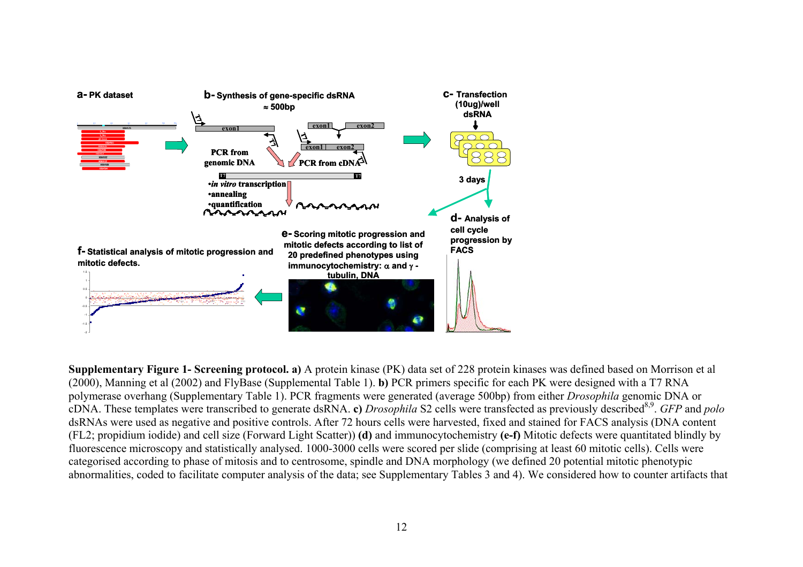

**Supplementary Figure 1- Screening protocol. a)** A protein kinase (PK) data set of 228 protein kinases was defined based on Morrison et al (2000), Manning et al (2002) and FlyBase (Supplemental Table 1). **b)** PCR primers specific for each PK were designed with a T7 RNA polymerase overhang (Supplementary Table 1). PCR fragments were generated (average 500bp) from either *Drosophila* genomic DNA or cDNA. These templates were transcribed to generate dsRNA. **c**) *Drosophila* S2 cells were transfected as previously described<sup>8,9</sup>. *GFP* and *polo* dsRNAs were used as negative and positive controls. After 72 hours cells were harvested, fixed and stained for FACS analysis (DNA content (FL2; propidium iodide) and cell size (Forward Light Scatter)) **(d)** and immunocytochemistry **(e-f)** Mitotic defects were quantitated blindly by fluorescence microscopy and statistically analysed. 1000-3000 cells were scored per slide (comprising at least 60 mitotic cells). Cells were categorised according to phase of mitosis and to centrosome, spindle and DNA morphology (we defined 20 potential mitotic phenotypic abnormalities, coded to facilitate computer analysis of the data; see Supplementary Tables 3 and 4). We considered how to counter artifacts that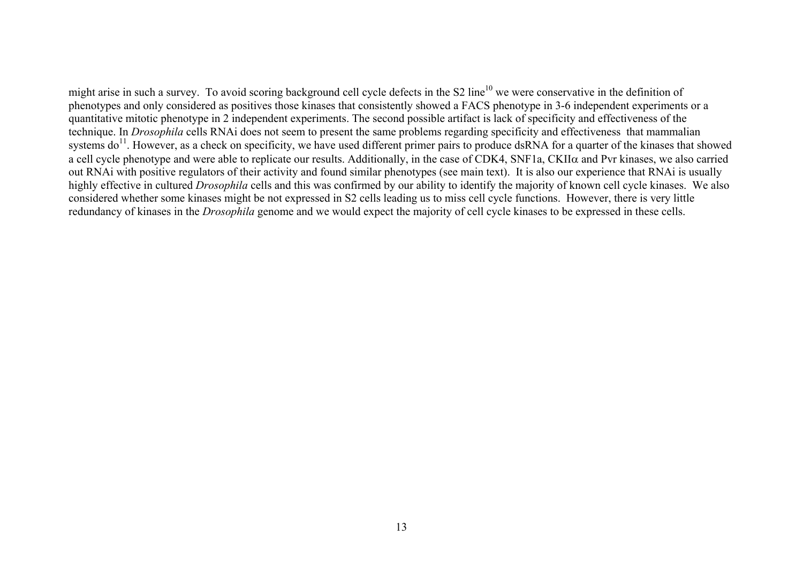might arise in such a survey. To avoid scoring background cell cycle defects in the S2 line<sup>10</sup> we were conservative in the definition of phenotypes and only considered as positives those kinases that consistently showed a FACS phenotype in 3-6 independent experiments or a quantitative mitotic phenotype in 2 independent experiments. The second possible artifact is lack of specificity and effectiveness of the technique. In *Drosophila* cells RNAi does not seem to present the same problems regarding specificity and effectiveness that mammalian systems do<sup>11</sup>. However, as a check on specificity, we have used different primer pairs to produce dsRNA for a quarter of the kinases that showed a cell cycle phenotype and were able to replicate our results. Additionally, in the case of CDK4, SNF1a, CKIIα and Pvr kinases, we also carried out RNAi with positive regulators of their activity and found similar phenotypes (see main text). It is also our experience that RNAi is usually highly effective in cultured *Drosophila* cells and this was confirmed by our ability to identify the majority of known cell cycle kinases. We also considered whether some kinases might be not expressed in S2 cells leading us to miss cell cycle functions. However, there is very little redundancy of kinases in the *Drosophila* genome and we would expect the majority of cell cycle kinases to be expressed in these cells.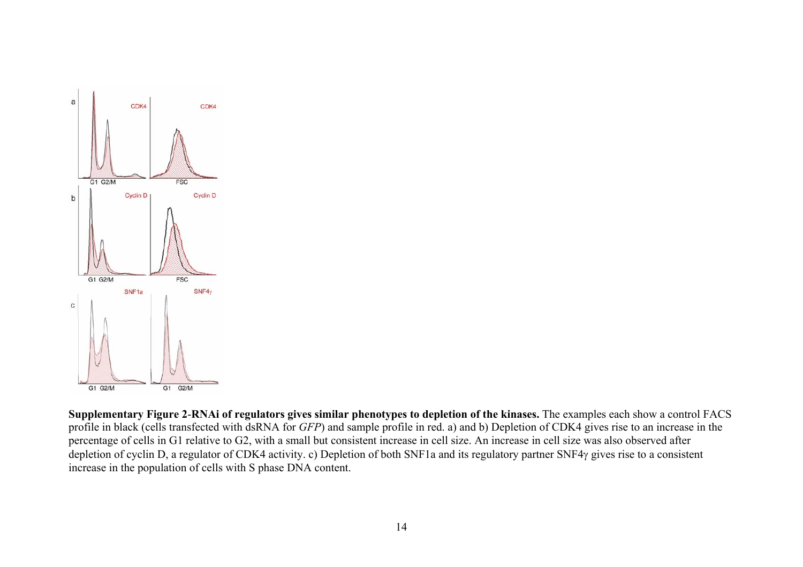

**Supplementary Figure 2**-**RNAi of regulators gives similar phenotypes to depletion of the kinases.** The examples each show a control FACS profile in black (cells transfected with dsRNA for *GFP*) and sample profile in red. a) and b) Depletion of CDK4 gives rise to an increase in the percentage of cells in G1 relative to G2, with a small but consistent increase in cell size. An increase in cell size was also observed after depletion of cyclin D, a regulator of CDK4 activity. c) Depletion of both SNF1a and its regulatory partner SNF4γ gives rise to a consistent increase in the population of cells with S phase DNA content.